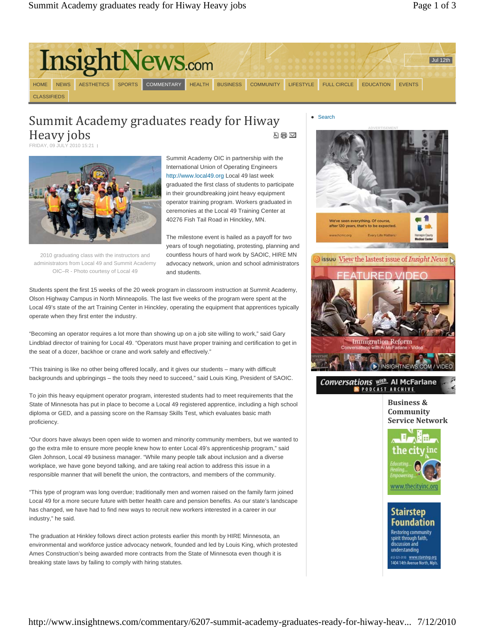

# Summit Academy graduates ready for Hiway Heavy jobs 지금 조

FRIDAY, 09 JULY 2010 15:21



2010 graduating class with the instructors and administrators from Local 49 and Summit Academy OIC–R - Photo courtesy of Local 49

Summit Academy OIC in partnership with the International Union of Operating Engineers http://www.local49.org Local 49 last week graduated the first class of students to participate in their groundbreaking joint heavy equipment operator training program. Workers graduated in ceremonies at the Local 49 Training Center at 40276 Fish Tail Road in Hinckley, MN.

The milestone event is hailed as a payoff for two years of tough negotiating, protesting, planning and countless hours of hard work by SAOIC, HIRE MN advocacy network, union and school administrators and students.

Students spent the first 15 weeks of the 20 week program in classroom instruction at Summit Academy, Olson Highway Campus in North Minneapolis. The last five weeks of the program were spent at the Local 49's state of the art Training Center in Hinckley, operating the equipment that apprentices typically operate when they first enter the industry.

"Becoming an operator requires a lot more than showing up on a job site willing to work," said Gary Lindblad director of training for Local 49. "Operators must have proper training and certification to get in the seat of a dozer, backhoe or crane and work safely and effectively."

"This training is like no other being offered locally, and it gives our students – many with difficult backgrounds and upbringings – the tools they need to succeed," said Louis King, President of SAOIC.

To join this heavy equipment operator program, interested students had to meet requirements that the State of Minnesota has put in place to become a Local 49 registered apprentice, including a high school diploma or GED, and a passing score on the Ramsay Skills Test, which evaluates basic math proficiency.

"Our doors have always been open wide to women and minority community members, but we wanted to go the extra mile to ensure more people knew how to enter Local 49's apprenticeship program," said Glen Johnson, Local 49 business manager. "While many people talk about inclusion and a diverse workplace, we have gone beyond talking, and are taking real action to address this issue in a responsible manner that will benefit the union, the contractors, and members of the community.

"This type of program was long overdue; traditionally men and women raised on the family farm joined Local 49 for a more secure future with better health care and pension benefits. As our state's landscape has changed, we have had to find new ways to recruit new workers interested in a career in our industry," he said.

The graduation at Hinkley follows direct action protests earlier this month by HIRE Minnesota, an environmental and workforce justice advocacy network, founded and led by Louis King, which protested Ames Construction's being awarded more contracts from the State of Minnesota even though it is breaking state laws by failing to comply with hiring statutes.

### Search



**Business & Community Service Network**